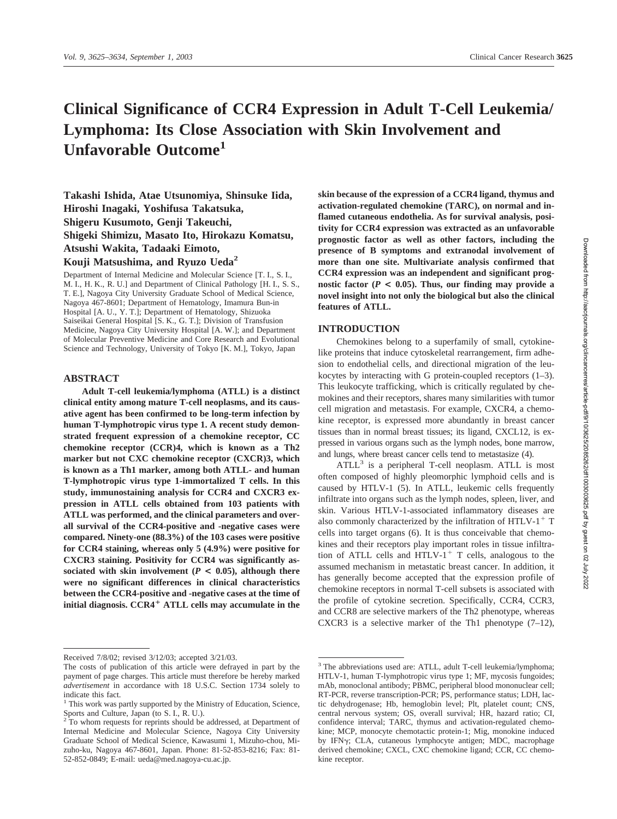# **Clinical Significance of CCR4 Expression in Adult T-Cell Leukemia/ Lymphoma: Its Close Association with Skin Involvement and Unfavorable Outcome1**

**Takashi Ishida, Atae Utsunomiya, Shinsuke Iida, Hiroshi Inagaki, Yoshifusa Takatsuka, Shigeru Kusumoto, Genji Takeuchi, Shigeki Shimizu, Masato Ito, Hirokazu Komatsu, Atsushi Wakita, Tadaaki Eimoto, Kouji Matsushima, and Ryuzo Ueda2**

Department of Internal Medicine and Molecular Science [T. I., S. I., M. I., H. K., R. U.] and Department of Clinical Pathology [H. I., S. S., T. E.], Nagoya City University Graduate School of Medical Science, Nagoya 467-8601; Department of Hematology, Imamura Bun-in Hospital [A. U., Y. T.]; Department of Hematology, Shizuoka Saiseikai General Hospital [S. K., G. T.]; Division of Transfusion Medicine, Nagoya City University Hospital [A. W.]; and Department of Molecular Preventive Medicine and Core Research and Evolutional Science and Technology, University of Tokyo [K. M.], Tokyo, Japan

#### **ABSTRACT**

**Adult T-cell leukemia/lymphoma (ATLL) is a distinct clinical entity among mature T-cell neoplasms, and its causative agent has been confirmed to be long-term infection by human T-lymphotropic virus type 1. A recent study demonstrated frequent expression of a chemokine receptor, CC chemokine receptor (CCR)4, which is known as a Th2 marker but not CXC chemokine receptor (CXCR)3, which is known as a Th1 marker, among both ATLL- and human T-lymphotropic virus type 1-immortalized T cells. In this study, immunostaining analysis for CCR4 and CXCR3 expression in ATLL cells obtained from 103 patients with ATLL was performed, and the clinical parameters and overall survival of the CCR4-positive and -negative cases were compared. Ninety-one (88.3%) of the 103 cases were positive for CCR4 staining, whereas only 5 (4.9%) were positive for CXCR3 staining. Positivity for CCR4 was significantly as**sociated with skin involvement ( $P < 0.05$ ), although there **were no significant differences in clinical characteristics between the CCR4-positive and -negative cases at the time of initial diagnosis. CCR4 ATLL cells may accumulate in the**

**skin because of the expression of a CCR4 ligand, thymus and activation-regulated chemokine (TARC), on normal and inflamed cutaneous endothelia. As for survival analysis, positivity for CCR4 expression was extracted as an unfavorable prognostic factor as well as other factors, including the presence of B symptoms and extranodal involvement of more than one site. Multivariate analysis confirmed that CCR4 expression was an independent and significant prog**nostic factor  $(P < 0.05)$ . Thus, our finding may provide a **novel insight into not only the biological but also the clinical features of ATLL.**

#### **INTRODUCTION**

Chemokines belong to a superfamily of small, cytokinelike proteins that induce cytoskeletal rearrangement, firm adhesion to endothelial cells, and directional migration of the leukocytes by interacting with G protein-coupled receptors (1–3). This leukocyte trafficking, which is critically regulated by chemokines and their receptors, shares many similarities with tumor cell migration and metastasis. For example, CXCR4, a chemokine receptor, is expressed more abundantly in breast cancer tissues than in normal breast tissues; its ligand, CXCL12, is expressed in various organs such as the lymph nodes, bone marrow, and lungs, where breast cancer cells tend to metastasize (4).

 $ATLL<sup>3</sup>$  is a peripheral T-cell neoplasm. ATLL is most often composed of highly pleomorphic lymphoid cells and is caused by HTLV-1 (5). In ATLL, leukemic cells frequently infiltrate into organs such as the lymph nodes, spleen, liver, and skin. Various HTLV-1-associated inflammatory diseases are also commonly characterized by the infiltration of HTLV- $1^+$  T cells into target organs (6). It is thus conceivable that chemokines and their receptors play important roles in tissue infiltration of ATLL cells and HTLV-1<sup>+</sup> T cells, analogous to the assumed mechanism in metastatic breast cancer. In addition, it has generally become accepted that the expression profile of chemokine receptors in normal T-cell subsets is associated with the profile of cytokine secretion. Specifically, CCR4, CCR3, and CCR8 are selective markers of the Th2 phenotype, whereas CXCR3 is a selective marker of the Th1 phenotype  $(7-12)$ ,

Received 7/8/02; revised 3/12/03; accepted 3/21/03.

The costs of publication of this article were defrayed in part by the payment of page charges. This article must therefore be hereby marked *advertisement* in accordance with 18 U.S.C. Section 1734 solely to indicate this fact.

<sup>&</sup>lt;sup>1</sup> This work was partly supported by the Ministry of Education, Science, Sports and Culture, Japan (to S. I., R. U.).

<sup>&</sup>lt;sup>2</sup> To whom requests for reprints should be addressed, at Department of Internal Medicine and Molecular Science, Nagoya City University Graduate School of Medical Science, Kawasumi 1, Mizuho-chou, Mizuho-ku, Nagoya 467-8601, Japan. Phone: 81-52-853-8216; Fax: 81- 52-852-0849; E-mail: ueda@med.nagoya-cu.ac.jp.

<sup>&</sup>lt;sup>3</sup> The abbreviations used are: ATLL, adult T-cell leukemia/lymphoma; HTLV-1, human T-lymphotropic virus type 1; MF, mycosis fungoides; mAb, monoclonal antibody; PBMC, peripheral blood mononuclear cell; RT-PCR, reverse transcription-PCR; PS, performance status; LDH, lactic dehydrogenase; Hb, hemoglobin level; Plt, platelet count; CNS, central nervous system; OS, overall survival; HR, hazard ratio; CI, confidence interval; TARC, thymus and activation-regulated chemokine; MCP, monocyte chemotactic protein-1; Mig, monokine induced by IFNy; CLA, cutaneous lymphocyte antigen; MDC, macrophage derived chemokine; CXCL, CXC chemokine ligand; CCR, CC chemokine receptor.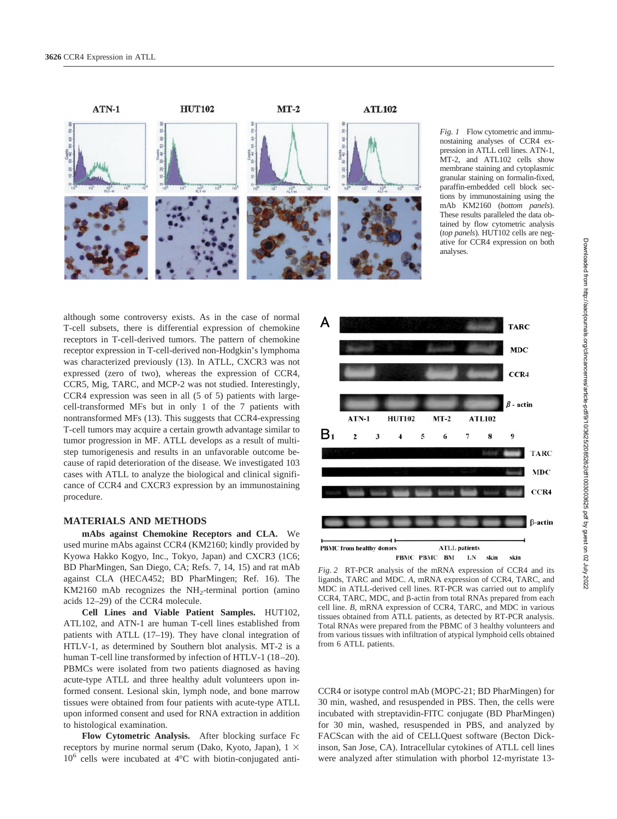

*Fig. 1* Flow cytometric and immunostaining analyses of CCR4 expression in ATLL cell lines. ATN-1, MT-2, and ATL102 cells show membrane staining and cytoplasmic granular staining on formalin-fixed, paraffin-embedded cell block sections by immunostaining using the mAb KM2160 (*bottom panels*). These results paralleled the data obtained by flow cytometric analysis (*top panels*). HUT102 cells are negative for CCR4 expression on both analyses.

although some controversy exists. As in the case of normal T-cell subsets, there is differential expression of chemokine receptors in T-cell-derived tumors. The pattern of chemokine receptor expression in T-cell-derived non-Hodgkin's lymphoma was characterized previously (13). In ATLL, CXCR3 was not expressed (zero of two), whereas the expression of CCR4, CCR5, Mig, TARC, and MCP-2 was not studied. Interestingly, CCR4 expression was seen in all (5 of 5) patients with largecell-transformed MFs but in only 1 of the 7 patients with nontransformed MFs (13). This suggests that CCR4-expressing T-cell tumors may acquire a certain growth advantage similar to tumor progression in MF. ATLL develops as a result of multistep tumorigenesis and results in an unfavorable outcome because of rapid deterioration of the disease. We investigated 103 cases with ATLL to analyze the biological and clinical significance of CCR4 and CXCR3 expression by an immunostaining procedure.

#### **MATERIALS AND METHODS**

**mAbs against Chemokine Receptors and CLA.** We used murine mAbs against CCR4 (KM2160; kindly provided by Kyowa Hakko Kogyo, Inc., Tokyo, Japan) and CXCR3 (1C6; BD PharMingen, San Diego, CA; Refs. 7, 14, 15) and rat mAb against CLA (HECA452; BD PharMingen; Ref. 16). The KM2160 mAb recognizes the  $NH<sub>2</sub>$ -terminal portion (amino acids 12–29) of the CCR4 molecule.

**Cell Lines and Viable Patient Samples.** HUT102, ATL102, and ATN-1 are human T-cell lines established from patients with ATLL (17–19). They have clonal integration of HTLV-1, as determined by Southern blot analysis. MT-2 is a human T-cell line transformed by infection of HTLV-1 (18–20). PBMCs were isolated from two patients diagnosed as having acute-type ATLL and three healthy adult volunteers upon informed consent. Lesional skin, lymph node, and bone marrow tissues were obtained from four patients with acute-type ATLL upon informed consent and used for RNA extraction in addition to histological examination.

**Flow Cytometric Analysis.** After blocking surface Fc receptors by murine normal serum (Dako, Kyoto, Japan),  $1 \times$  $10^6$  cells were incubated at  $4^{\circ}$ C with biotin-conjugated anti-



*Fig. 2* RT-PCR analysis of the mRNA expression of CCR4 and its ligands, TARC and MDC. *A*, mRNA expression of CCR4, TARC, and MDC in ATLL-derived cell lines. RT-PCR was carried out to amplify  $CCR4, TARC, MDC, and  $\beta$ -actin from total RNAs prepared from each$ cell line. *B*, mRNA expression of CCR4, TARC, and MDC in various tissues obtained from ATLL patients, as detected by RT-PCR analysis. Total RNAs were prepared from the PBMC of 3 healthy volunteers and from various tissues with infiltration of atypical lymphoid cells obtained from 6 ATLL patients.

CCR4 or isotype control mAb (MOPC-21; BD PharMingen) for 30 min, washed, and resuspended in PBS. Then, the cells were incubated with streptavidin-FITC conjugate (BD PharMingen) for 30 min, washed, resuspended in PBS, and analyzed by FACScan with the aid of CELLQuest software (Becton Dickinson, San Jose, CA). Intracellular cytokines of ATLL cell lines were analyzed after stimulation with phorbol 12-myristate 13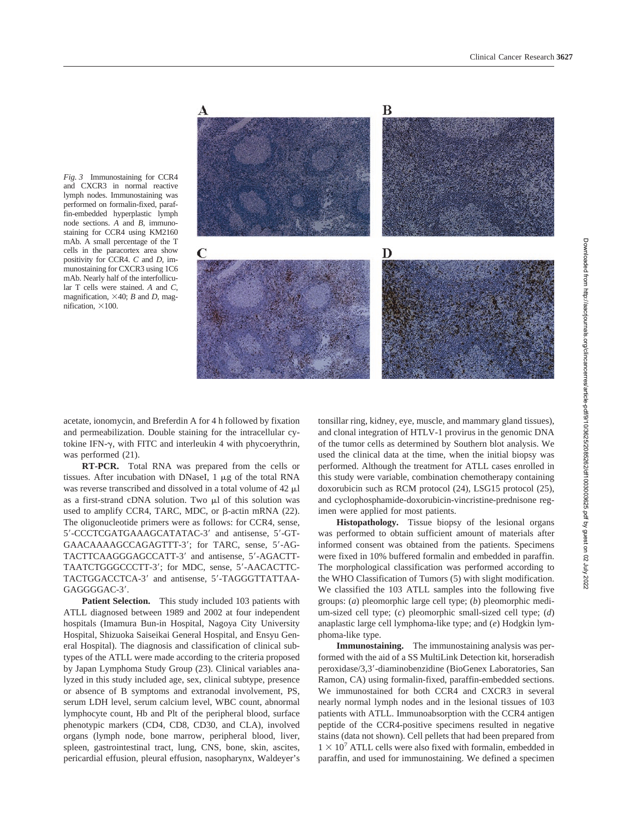*Fig. 3* Immunostaining for CCR4 and CXCR3 in normal reactive lymph nodes. Immunostaining was performed on formalin-fixed, paraffin-embedded hyperplastic lymph node sections. *A* and *B*, immunostaining for CCR4 using KM2160 mAb. A small percentage of the T cells in the paracortex area show positivity for CCR4. *C* and *D*, immunostaining for CXCR3 using 1C6 mAb. Nearly half of the interfollicular T cells were stained. *A* and *C*, magnification,  $\times$ 40; *B* and *D*, magnification,  $\times$ 100.



acetate, ionomycin, and Breferdin A for 4 h followed by fixation and permeabilization. Double staining for the intracellular cytokine IFN- $\gamma$ , with FITC and interleukin 4 with phycoerythrin, was performed (21).

**RT-PCR.** Total RNA was prepared from the cells or tissues. After incubation with DNaseI,  $1 \mu g$  of the total RNA was reverse transcribed and dissolved in a total volume of  $42 \mu l$ as a first-strand cDNA solution. Two  $\mu$ l of this solution was used to amplify CCR4, TARC, MDC, or  $\beta$ -actin mRNA (22). The oligonucleotide primers were as follows: for CCR4, sense, 5-CCCTCGATGAAAGCATATAC-3 and antisense, 5-GT-GAACAAAAGCCAGAGTTT-3; for TARC, sense, 5-AG-TACTTCAAGGGAGCCATT-3' and antisense, 5'-AGACTT-TAATCTGGGCCCTT-3'; for MDC, sense, 5'-AACACTTC-TACTGGACCTCA-3' and antisense, 5'-TAGGGTTATTAA-GAGGGGAC-3'.

**Patient Selection.** This study included 103 patients with ATLL diagnosed between 1989 and 2002 at four independent hospitals (Imamura Bun-in Hospital, Nagoya City University Hospital, Shizuoka Saiseikai General Hospital, and Ensyu General Hospital). The diagnosis and classification of clinical subtypes of the ATLL were made according to the criteria proposed by Japan Lymphoma Study Group (23). Clinical variables analyzed in this study included age, sex, clinical subtype, presence or absence of B symptoms and extranodal involvement, PS, serum LDH level, serum calcium level, WBC count, abnormal lymphocyte count, Hb and Plt of the peripheral blood, surface phenotypic markers (CD4, CD8, CD30, and CLA), involved organs (lymph node, bone marrow, peripheral blood, liver, spleen, gastrointestinal tract, lung, CNS, bone, skin, ascites, pericardial effusion, pleural effusion, nasopharynx, Waldeyer's tonsillar ring, kidney, eye, muscle, and mammary gland tissues), and clonal integration of HTLV-1 provirus in the genomic DNA of the tumor cells as determined by Southern blot analysis. We used the clinical data at the time, when the initial biopsy was performed. Although the treatment for ATLL cases enrolled in this study were variable, combination chemotherapy containing doxorubicin such as RCM protocol (24), LSG15 protocol (25), and cyclophosphamide-doxorubicin-vincristine-prednisone regimen were applied for most patients.

**Histopathology.** Tissue biopsy of the lesional organs was performed to obtain sufficient amount of materials after informed consent was obtained from the patients. Specimens were fixed in 10% buffered formalin and embedded in paraffin. The morphological classification was performed according to the WHO Classification of Tumors (5) with slight modification. We classified the 103 ATLL samples into the following five groups: (*a*) pleomorphic large cell type; (*b*) pleomorphic medium-sized cell type; (*c*) pleomorphic small-sized cell type; (*d*) anaplastic large cell lymphoma-like type; and (*e*) Hodgkin lymphoma-like type.

**Immunostaining.** The immunostaining analysis was performed with the aid of a SS MultiLink Detection kit, horseradish peroxidase/3,3-diaminobenzidine (BioGenex Laboratories, San Ramon, CA) using formalin-fixed, paraffin-embedded sections. We immunostained for both CCR4 and CXCR3 in several nearly normal lymph nodes and in the lesional tissues of 103 patients with ATLL. Immunoabsorption with the CCR4 antigen peptide of the CCR4-positive specimens resulted in negative stains (data not shown). Cell pellets that had been prepared from  $1 \times 10^7$  ATLL cells were also fixed with formalin, embedded in paraffin, and used for immunostaining. We defined a specimen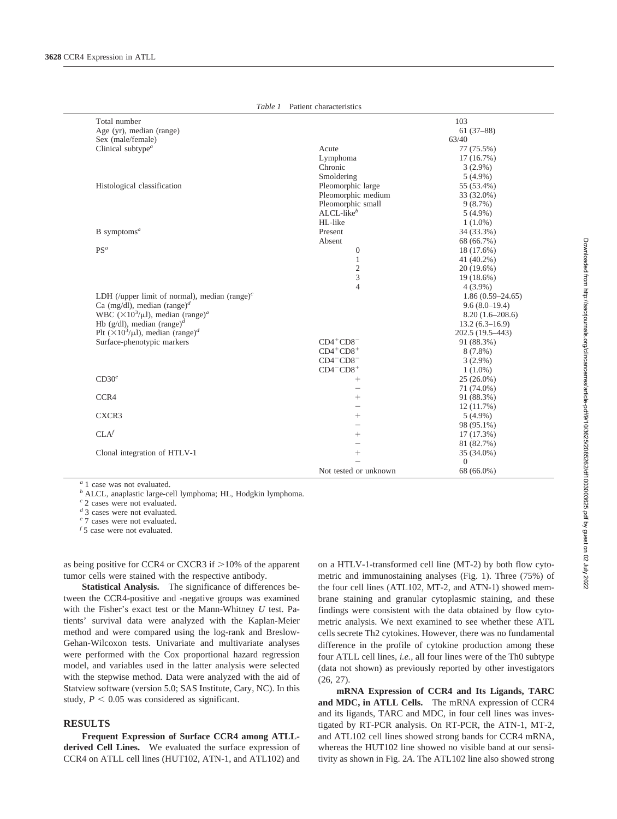| Total number                                                                  |                                                                 | 103                |
|-------------------------------------------------------------------------------|-----------------------------------------------------------------|--------------------|
| Age (yr), median (range)                                                      |                                                                 | $61(37-88)$        |
| Sex (male/female)                                                             |                                                                 | 63/40              |
| Clinical subtype <sup><i>a</i></sup>                                          | Acute                                                           | 77 (75.5%)         |
|                                                                               | Lymphoma                                                        | 17(16.7%)          |
|                                                                               | Chronic                                                         | $3(2.9\%)$         |
|                                                                               | Smoldering                                                      | $5(4.9\%)$         |
| Histological classification                                                   | Pleomorphic large                                               | 55 (53.4%)         |
|                                                                               | Pleomorphic medium                                              | 33 (32.0%)         |
|                                                                               | Pleomorphic small                                               | 9(8.7%)            |
|                                                                               | $ALCL-likeb$                                                    | $5(4.9\%)$         |
|                                                                               | HL-like                                                         | $1(1.0\%)$         |
| $B$ symptoms <sup>a</sup>                                                     | Present                                                         | 34 (33.3%)         |
|                                                                               | Absent                                                          | 68 (66.7%)         |
| $PS^a$                                                                        | $\overline{0}$                                                  | 18 (17.6%)         |
|                                                                               | 1                                                               | 41 (40.2%)         |
|                                                                               | $\overline{c}$                                                  | 20 (19.6%)         |
|                                                                               | 3                                                               | 19 (18.6%)         |
|                                                                               | $\overline{4}$                                                  | $4(3.9\%)$         |
| LDH (/upper limit of normal), median $(range)^c$                              |                                                                 | $1.86(0.59-24.65)$ |
| Ca (mg/dl), median (range) <sup>d</sup>                                       |                                                                 | $9.6(8.0-19.4)$    |
| WBC ( $\times$ 10 <sup>3</sup> / $\mu$ l), median (range) <sup><i>a</i></sup> |                                                                 | $8.20(1.6-208.6)$  |
| Hb (g/dl), median (range) <sup>d</sup>                                        |                                                                 | $13.2(6.3 - 16.9)$ |
| Plt $(\times 10^3/\mu l)$ , median (range) <sup>d</sup>                       |                                                                 | 202.5 (19.5-443)   |
| Surface-phenotypic markers                                                    | $CD4+CD8$ <sup>-</sup>                                          | 91 (88.3%)         |
|                                                                               | $CD4^+CD8^+$                                                    | $8(7.8\%)$         |
|                                                                               | $CD4-CD8$ <sup>-</sup>                                          | $3(2.9\%)$         |
|                                                                               | $CD4$ <sup><math>-</math></sup> $CD8$ <sup><math>+</math></sup> | $1(1.0\%)$         |
| CD30 <sup>e</sup>                                                             | $^{+}$                                                          | $25(26.0\%)$       |
|                                                                               | $\overline{\phantom{0}}$                                        | 71 (74.0%)         |
| CCR4                                                                          | $^{+}$                                                          | 91 (88.3%)         |
|                                                                               | -                                                               | 12(11.7%)          |
| CXCR3                                                                         | $^{+}$                                                          | $5(4.9\%)$         |
|                                                                               |                                                                 | 98 (95.1%)         |
| CLA <sup>f</sup>                                                              | $^{+}$                                                          | 17(17.3%)          |
|                                                                               |                                                                 | 81 (82.7%)         |
| Clonal integration of HTLV-1                                                  | $^{+}$                                                          | 35 (34.0%)         |
|                                                                               |                                                                 | $\Omega$           |
|                                                                               | Not tested or unknown                                           | 68 (66.0%)         |

*Table 1* Patient characteristics

*<sup>a</sup>* 1 case was not evaluated.

*<sup>b</sup>* ALCL, anaplastic large-cell lymphoma; HL, Hodgkin lymphoma.

*<sup>c</sup>* 2 cases were not evaluated.

*<sup>d</sup>* 3 cases were not evaluated.

*<sup>e</sup>* 7 cases were not evaluated.

*f* 5 case were not evaluated.

as being positive for CCR4 or CXCR3 if  $>10\%$  of the apparent tumor cells were stained with the respective antibody.

**Statistical Analysis.** The significance of differences between the CCR4-positive and -negative groups was examined with the Fisher's exact test or the Mann-Whitney *U* test. Patients' survival data were analyzed with the Kaplan-Meier method and were compared using the log-rank and Breslow-Gehan-Wilcoxon tests. Univariate and multivariate analyses were performed with the Cox proportional hazard regression model, and variables used in the latter analysis were selected with the stepwise method. Data were analyzed with the aid of Statview software (version 5.0; SAS Institute, Cary, NC). In this study,  $P < 0.05$  was considered as significant.

#### **RESULTS**

**Frequent Expression of Surface CCR4 among ATLLderived Cell Lines.** We evaluated the surface expression of CCR4 on ATLL cell lines (HUT102, ATN-1, and ATL102) and on a HTLV-1-transformed cell line (MT-2) by both flow cytometric and immunostaining analyses (Fig. 1). Three (75%) of the four cell lines (ATL102, MT-2, and ATN-1) showed membrane staining and granular cytoplasmic staining, and these findings were consistent with the data obtained by flow cytometric analysis. We next examined to see whether these ATL cells secrete Th2 cytokines. However, there was no fundamental difference in the profile of cytokine production among these four ATLL cell lines, *i.e.,* all four lines were of the Th0 subtype (data not shown) as previously reported by other investigators (26, 27).

**mRNA Expression of CCR4 and Its Ligands, TARC and MDC, in ATLL Cells.** The mRNA expression of CCR4 and its ligands, TARC and MDC, in four cell lines was investigated by RT-PCR analysis. On RT-PCR, the ATN-1, MT-2, and ATL102 cell lines showed strong bands for CCR4 mRNA, whereas the HUT102 line showed no visible band at our sensitivity as shown in Fig. 2*A*. The ATL102 line also showed strong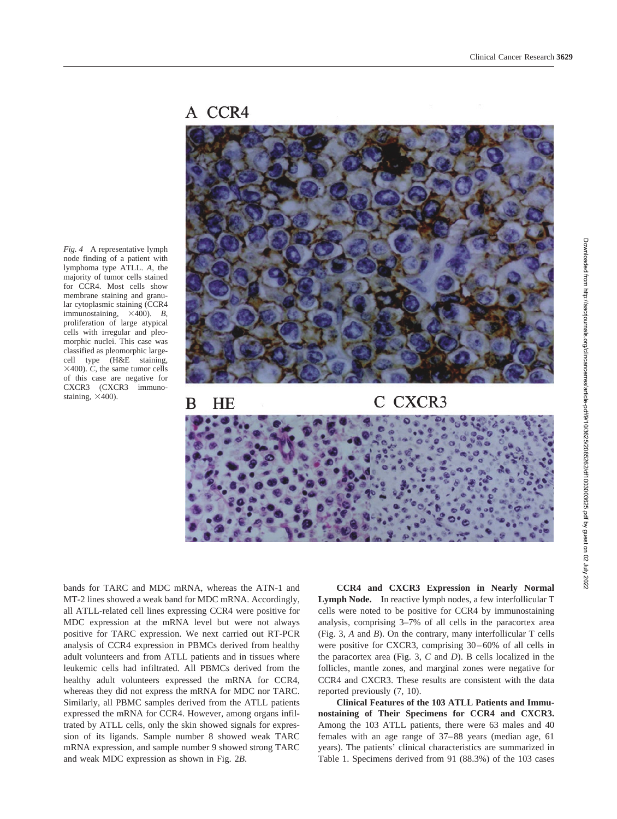## A CCR4



*Fig. 4* A representative lymph node finding of a patient with lymphoma type ATLL. *A*, the majority of tumor cells stained for CCR4. Most cells show membrane staining and granular cytoplasmic staining (CCR4 immunostaining,  $\times$ 400). *B*, proliferation of large atypical cells with irregular and pleomorphic nuclei. This case was classified as pleomorphic largecell type (H&E staining,  $\times$ 400). *C*, the same tumor cells of this case are negative for CXCR3 (CXCR3 immunostaining,  $\times$ 400).

bands for TARC and MDC mRNA, whereas the ATN-1 and MT-2 lines showed a weak band for MDC mRNA. Accordingly, all ATLL-related cell lines expressing CCR4 were positive for MDC expression at the mRNA level but were not always positive for TARC expression. We next carried out RT-PCR analysis of CCR4 expression in PBMCs derived from healthy adult volunteers and from ATLL patients and in tissues where leukemic cells had infiltrated. All PBMCs derived from the healthy adult volunteers expressed the mRNA for CCR4, whereas they did not express the mRNA for MDC nor TARC. Similarly, all PBMC samples derived from the ATLL patients expressed the mRNA for CCR4. However, among organs infiltrated by ATLL cells, only the skin showed signals for expression of its ligands. Sample number 8 showed weak TARC mRNA expression, and sample number 9 showed strong TARC and weak MDC expression as shown in Fig. 2*B*.

**CCR4 and CXCR3 Expression in Nearly Normal Lymph Node.** In reactive lymph nodes, a few interfollicular T cells were noted to be positive for CCR4 by immunostaining analysis, comprising 3–7% of all cells in the paracortex area (Fig. 3, *A* and *B*). On the contrary, many interfollicular T cells were positive for CXCR3, comprising 30–60% of all cells in the paracortex area (Fig. 3, *C* and *D*). B cells localized in the follicles, mantle zones, and marginal zones were negative for CCR4 and CXCR3. These results are consistent with the data reported previously (7, 10).

**Clinical Features of the 103 ATLL Patients and Immunostaining of Their Specimens for CCR4 and CXCR3.** Among the 103 ATLL patients, there were 63 males and 40 females with an age range of 37–88 years (median age, 61 years). The patients' clinical characteristics are summarized in Table 1. Specimens derived from 91 (88.3%) of the 103 cases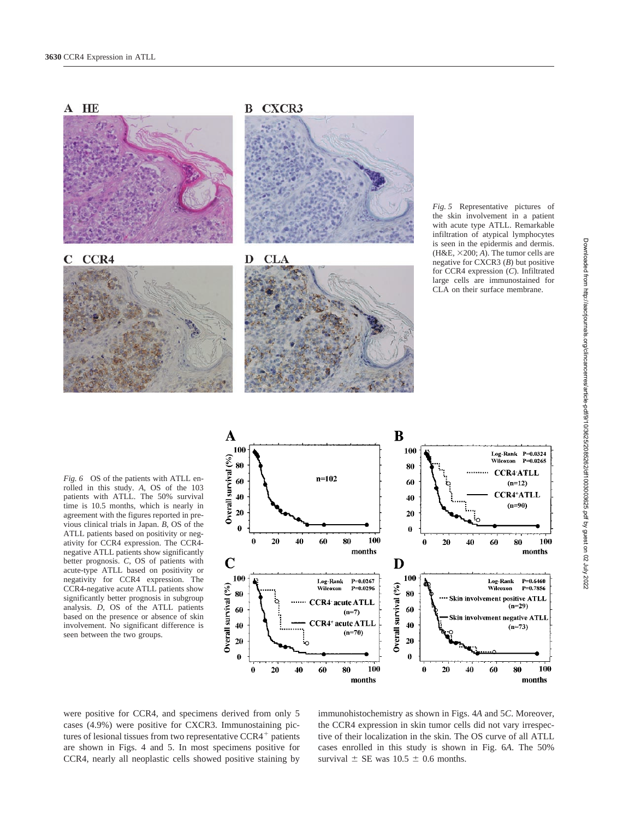

*Fig. 5* Representative pictures of the skin involvement in a patient with acute type ATLL. Remarkable infiltration of atypical lymphocytes is seen in the epidermis and dermis. (H&E,  $\times$ 200; *A*). The tumor cells are negative for CXCR3 (*B*) but positive for CCR4 expression (*C*). Infiltrated large cells are immunostained for CLA on their surface membrane.

*Fig. 6* OS of the patients with ATLL enrolled in this study. *A*, OS of the 103 patients with ATLL. The 50% survival time is 10.5 months, which is nearly in agreement with the figures reported in previous clinical trials in Japan. *B*, OS of the ATLL patients based on positivity or negativity for CCR4 expression. The CCR4 negative ATLL patients show significantly better prognosis. *C*, OS of patients with acute-type ATLL based on positivity or negativity for CCR4 expression. The CCR4-negative acute ATLL patients show significantly better prognosis in subgroup analysis. *D*, OS of the ATLL patients based on the presence or absence of skin involvement. No significant difference is seen between the two groups.



were positive for CCR4, and specimens derived from only 5 cases (4.9%) were positive for CXCR3. Immunostaining pictures of lesional tissues from two representative  $CCR4<sup>+</sup>$  patients are shown in Figs. 4 and 5. In most specimens positive for CCR4, nearly all neoplastic cells showed positive staining by

immunohistochemistry as shown in Figs. 4*A* and 5*C*. Moreover, the CCR4 expression in skin tumor cells did not vary irrespective of their localization in the skin. The OS curve of all ATLL cases enrolled in this study is shown in Fig. 6*A*. The 50% survival  $\pm$  SE was 10.5  $\pm$  0.6 months.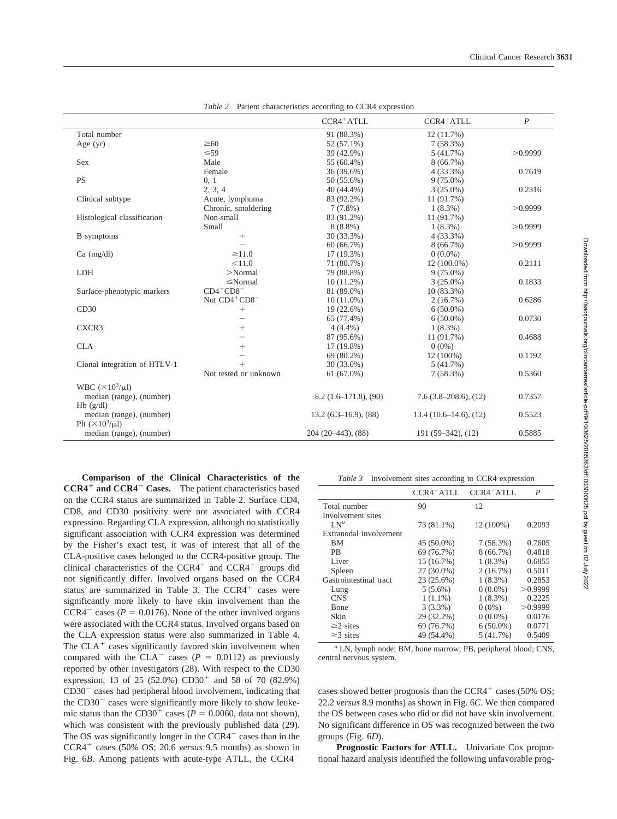|                                                       |                          | CCR4 <sup>+</sup> ATLL | CCR4 <sup>-</sup> ATLL | $\overline{P}$ |
|-------------------------------------------------------|--------------------------|------------------------|------------------------|----------------|
| Total number                                          |                          | 91 (88.3%)             | 12(11.7%)              |                |
| Age $(yr)$                                            | $\geq 60$                | 52 (57.1%)             | 7(58.3%)               |                |
|                                                       | $\leq 59$                | 39 (42.9%)             | 5(41.7%)               | >0.9999        |
| Sex                                                   | Male                     | 55 (60.4%)             | 8(66.7%)               |                |
|                                                       | Female                   | 36 (39.6%)             | $4(33.3\%)$            | 0.7619         |
| <b>PS</b>                                             | 0, 1                     | 50 (55.6%)             | $9(75.0\%)$            |                |
|                                                       | 2, 3, 4                  | 40 (44.4%)             | $3(25.0\%)$            | 0.2316         |
| Clinical subtype                                      | Acute, lymphoma          | 83 (92.2%)             | 11 (91.7%)             |                |
|                                                       | Chronic, smoldering      | $7(7.8\%)$             | $1(8.3\%)$             | >0.9999        |
| Histological classification                           | Non-small                | 83 (91.2%)             | 11 (91.7%)             |                |
|                                                       | Small                    | $8(8.8\%)$             | $1(8.3\%)$             | >0.9999        |
| <b>B</b> symptoms                                     | $+$                      | 30 (33.3%)             | $4(33.3\%)$            |                |
|                                                       |                          | 60(66.7%)              | 8(66.7%)               | >0.9999        |
| $Ca \ (mg/dl)$                                        | $\geq$ 11.0              | $17(19.3\%)$           | $0(0.0\%)$             |                |
|                                                       | < 11.0                   | 71 (80.7%)             | $12(100.0\%)$          | 0.2111         |
| <b>LDH</b>                                            | $>$ Normal               | 79 (88.8%)             | $9(75.0\%)$            |                |
|                                                       | $\leq$ Normal            | $10(11.2\%)$           | $3(25.0\%)$            | 0.1833         |
| Surface-phenotypic markers                            | $CD4+CD8$ <sup>-</sup>   | 81 (89.0%)             | $10(83.3\%)$           |                |
|                                                       | Not CD4+CD8 <sup>-</sup> | $10(11.0\%)$           | 2(16.7%)               | 0.6286         |
| CD30                                                  | $\! + \!\!\!\!$          | 19 (22.6%)             | $6(50.0\%)$            |                |
|                                                       | $\overline{\phantom{0}}$ | 65 (77.4%)             | $6(50.0\%)$            | 0.0730         |
| CXCR3                                                 | $^{+}$                   | $4(4.4\%)$             | $1(8.3\%)$             |                |
|                                                       | $\overline{\phantom{0}}$ | 87 (95.6%)             | 11 (91.7%)             | 0.4688         |
| <b>CLA</b>                                            | $^{+}$                   | 17 (19.8%)             | $0(0\%)$               |                |
|                                                       | -                        | 69 (80.2%)             | 12 (100%)              | 0.1192         |
| Clonal integration of HTLV-1                          | $+$                      | 30 (33.0%)             | 5(41.7%)               |                |
|                                                       | Not tested or unknown    | $61(67.0\%)$           | 7(58.3%)               | 0.5360         |
| WBC $(\times 10^3/\mu l)$                             |                          |                        |                        |                |
| median (range), (number)                              |                          | $8.2(1.6-171.8), (90)$ | $7.6(3.8-208.6), (12)$ | 0.7357         |
| $Hb$ (g/dl)                                           |                          |                        |                        |                |
| median (range), (number)                              |                          | $13.2(6.3-16.9), (88)$ | 13.4(10.6–14.6), (12)  | 0.5523         |
| Plt $(\times 10^3/\mu l)$<br>median (range), (number) |                          | $204(20-443), (88)$    | $191(59-342), (12)$    | 0.5885         |

*Table 2* Patient characteristics according to CCR4 expression

**Comparison of the Clinical Characteristics of the CCR4 and CCR4**- **Cases.** The patient characteristics based on the CCR4 status are summarized in Table 2. Surface CD4, CD8, and CD30 positivity were not associated with CCR4 expression. Regarding CLA expression, although no statistically significant association with CCR4 expression was determined by the Fisher's exact test, it was of interest that all of the CLA-positive cases belonged to the CCR4-positive group. The clinical characteristics of the  $CCR4^+$  and  $CCR4^-$  groups did not significantly differ. Involved organs based on the CCR4 status are summarized in Table 3. The  $CCR4<sup>+</sup>$  cases were significantly more likely to have skin involvement than the  $CCR4^-$  cases ( $P = 0.0176$ ). None of the other involved organs were associated with the CCR4 status. Involved organs based on the CLA expression status were also summarized in Table 4. The  $CLA<sup>+</sup>$  cases significantly favored skin involvement when compared with the  $CLA^-$  cases ( $P = 0.0112$ ) as previously reported by other investigators (28). With respect to the CD30 expression, 13 of 25 (52.0%)  $CD30<sup>+</sup>$  and 58 of 70 (82.9%)  $CD30<sup>-</sup>$  cases had peripheral blood involvement, indicating that the  $CD30<sup>-</sup>$  cases were significantly more likely to show leukemic status than the CD30<sup>+</sup> cases ( $P = 0.0060$ , data not shown), which was consistent with the previously published data (29). The OS was significantly longer in the  $CCR4$ <sup> $-$ </sup> cases than in the  $CCR4^+$  cases (50% OS; 20.6 *versus* 9.5 months) as shown in Fig. 6*B*. Among patients with acute-type ATLL, the CCR4<sup>-</sup>

*Table 3* Involvement sites according to CCR4 expression

|                        | $CCR4+ATLL$  | CCR4 <sup>-ATLL</sup> | P        |
|------------------------|--------------|-----------------------|----------|
| Total number           | 90           | 12                    |          |
| Involvement sites      |              |                       |          |
| $LN^a$                 | 73 (81.1%)   | 12 (100%)             | 0.2093   |
| Extranodal involvement |              |                       |          |
| BМ                     | 45 (50.0%)   | 7(58.3%)              | 0.7605   |
| <b>PB</b>              | 69 (76.7%)   | 8(66.7%)              | 0.4818   |
| Liver                  | 15 (16.7%)   | $1(8.3\%)$            | 0.6855   |
| Spleen                 | $27(30.0\%)$ | 2(16.7%)              | 0.5011   |
| Gastrointestinal tract | 23 (25.6%)   | $1(8.3\%)$            | 0.2853   |
| Lung                   | $5(5.6\%)$   | $0(0.0\%)$            | > 0.9999 |
| <b>CNS</b>             | $1(1.1\%)$   | $1(8.3\%)$            | 0.2225   |
| Bone                   | $3(3.3\%)$   | $0(0\%)$              | > 0.9999 |
| Skin                   | 29 (32.2%)   | $0(0.0\%)$            | 0.0176   |
| $\geq$ 2 sites         | 69 (76.7%)   | $6(50.0\%)$           | 0.0771   |
| $\geq$ 3 sites         | 49 (54.4%)   | 5(41.7%)              | 0.5409   |

*<sup>a</sup>* LN, lymph node; BM, bone marrow; PB, peripheral blood; CNS, central nervous system.

cases showed better prognosis than the  $CCR4^+$  cases (50% OS; 22.2 *versus* 8.9 months) as shown in Fig. 6*C*. We then compared the OS between cases who did or did not have skin involvement. No significant difference in OS was recognized between the two groups (Fig. 6*D*).

**Prognostic Factors for ATLL.** Univariate Cox proportional hazard analysis identified the following unfavorable prog-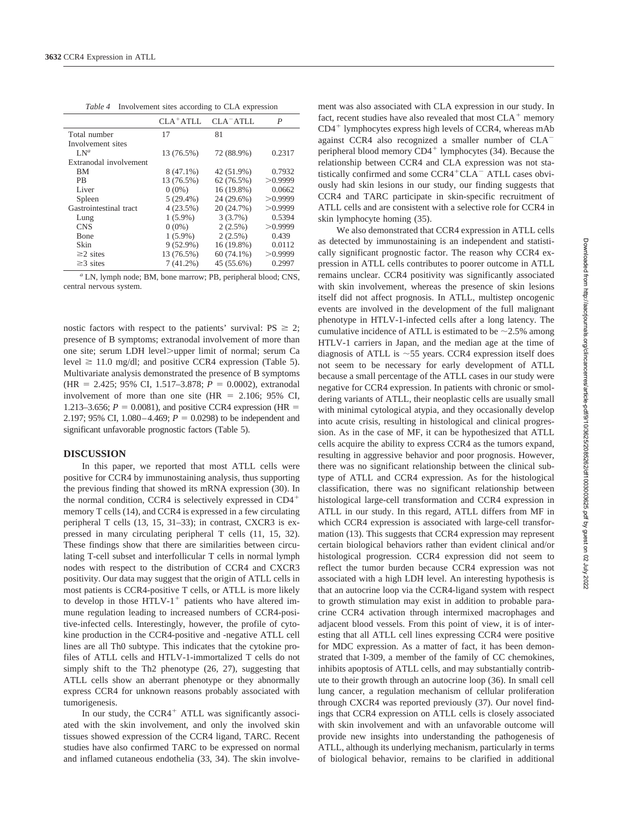| Table 4 Involvement sites according to CLA expression |  |  |  |  |  |  |  |
|-------------------------------------------------------|--|--|--|--|--|--|--|
|-------------------------------------------------------|--|--|--|--|--|--|--|

|                        | $CLA^+ATLL$ | $CLA-ATLL$   | P       |
|------------------------|-------------|--------------|---------|
| Total number           | 17          | 81           |         |
| Involvement sites      |             |              |         |
| $LN^a$                 | 13 (76.5%)  | 72 (88.9%)   | 0.2317  |
| Extranodal involvement |             |              |         |
| ВM                     | $8(47.1\%)$ | 42 (51.9%)   | 0.7932  |
| <b>PR</b>              | 13 (76.5%)  | 62(76.5%)    | >0.9999 |
| Liver                  | $0(0\%)$    | 16 (19.8%)   | 0.0662  |
| Spleen                 | $5(29.4\%)$ | 24 (29.6%)   | >0.9999 |
| Gastrointestinal tract | 4(23.5%)    | 20 (24.7%)   | >0.9999 |
| Lung                   | $1(5.9\%)$  | 3(3.7%)      | 0.5394  |
| <b>CNS</b>             | $0(0\%)$    | $2(2.5\%)$   | >0.9999 |
| <b>B</b> one           | $1(5.9\%)$  | $2(2.5\%)$   | 0.439   |
| Skin                   | $9(52.9\%)$ | 16 (19.8%)   | 0.0112  |
| $\geq$ 2 sites         | 13 (76.5%)  | $60(74.1\%)$ | >0.9999 |
| $\geq$ 3 sites         | $7(41.2\%)$ | 45 (55.6%)   | 0.2997  |

*<sup>a</sup>* LN, lymph node; BM, bone marrow; PB, peripheral blood; CNS, central nervous system.

nostic factors with respect to the patients' survival:  $PS \geq 2$ ; presence of B symptoms; extranodal involvement of more than one site; serum LDH level>upper limit of normal; serum Ca level  $\geq 11.0$  mg/dl; and positive CCR4 expression (Table 5). Multivariate analysis demonstrated the presence of B symptoms (HR = 2.425; 95% CI, 1.517-3.878;  $P = 0.0002$ ), extranodal involvement of more than one site ( $HR = 2.106$ ; 95% CI, 1.213–3.656;  $P = 0.0081$ ), and positive CCR4 expression (HR = 2.197; 95% CI, 1.080–4.469;  $P = 0.0298$ ) to be independent and significant unfavorable prognostic factors (Table 5).

#### **DISCUSSION**

In this paper, we reported that most ATLL cells were positive for CCR4 by immunostaining analysis, thus supporting the previous finding that showed its mRNA expression (30). In the normal condition, CCR4 is selectively expressed in CD4 memory T cells (14), and CCR4 is expressed in a few circulating peripheral T cells (13, 15, 31–33); in contrast, CXCR3 is expressed in many circulating peripheral T cells (11, 15, 32). These findings show that there are similarities between circulating T-cell subset and interfollicular T cells in normal lymph nodes with respect to the distribution of CCR4 and CXCR3 positivity. Our data may suggest that the origin of ATLL cells in most patients is CCR4-positive T cells, or ATLL is more likely to develop in those  $HTLV-1$ <sup>+</sup> patients who have altered immune regulation leading to increased numbers of CCR4-positive-infected cells. Interestingly, however, the profile of cytokine production in the CCR4-positive and -negative ATLL cell lines are all Th0 subtype. This indicates that the cytokine profiles of ATLL cells and HTLV-1-immortalized T cells do not simply shift to the Th2 phenotype (26, 27), suggesting that ATLL cells show an aberrant phenotype or they abnormally express CCR4 for unknown reasons probably associated with tumorigenesis.

In our study, the  $CCR4$ <sup>+</sup> ATLL was significantly associated with the skin involvement, and only the involved skin tissues showed expression of the CCR4 ligand, TARC. Recent studies have also confirmed TARC to be expressed on normal and inflamed cutaneous endothelia (33, 34). The skin involve-

ment was also associated with CLA expression in our study. In fact, recent studies have also revealed that most  $CLA<sup>+</sup>$  memory  $CD4<sup>+</sup>$  lymphocytes express high levels of CCR4, whereas mAb against CCR4 also recognized a smaller number of CLA peripheral blood memory  $CD4^+$  lymphocytes (34). Because the relationship between CCR4 and CLA expression was not statistically confirmed and some  $CCR4+CLA^-$  ATLL cases obviously had skin lesions in our study, our finding suggests that CCR4 and TARC participate in skin-specific recruitment of ATLL cells and are consistent with a selective role for CCR4 in skin lymphocyte homing (35).

We also demonstrated that CCR4 expression in ATLL cells as detected by immunostaining is an independent and statistically significant prognostic factor. The reason why CCR4 expression in ATLL cells contributes to poorer outcome in ATLL remains unclear. CCR4 positivity was significantly associated with skin involvement, whereas the presence of skin lesions itself did not affect prognosis. In ATLL, multistep oncogenic events are involved in the development of the full malignant phenotype in HTLV-1-infected cells after a long latency. The cumulative incidence of ATLL is estimated to be  $\sim$  2.5% among HTLV-1 carriers in Japan, and the median age at the time of diagnosis of ATLL is  $\sim$  55 years. CCR4 expression itself does not seem to be necessary for early development of ATLL because a small percentage of the ATLL cases in our study were negative for CCR4 expression. In patients with chronic or smoldering variants of ATLL, their neoplastic cells are usually small with minimal cytological atypia, and they occasionally develop into acute crisis, resulting in histological and clinical progression. As in the case of MF, it can be hypothesized that ATLL cells acquire the ability to express CCR4 as the tumors expand, resulting in aggressive behavior and poor prognosis. However, there was no significant relationship between the clinical subtype of ATLL and CCR4 expression. As for the histological classification, there was no significant relationship between histological large-cell transformation and CCR4 expression in ATLL in our study. In this regard, ATLL differs from MF in which CCR4 expression is associated with large-cell transformation (13). This suggests that CCR4 expression may represent certain biological behaviors rather than evident clinical and/or histological progression. CCR4 expression did not seem to reflect the tumor burden because CCR4 expression was not associated with a high LDH level. An interesting hypothesis is that an autocrine loop via the CCR4-ligand system with respect to growth stimulation may exist in addition to probable paracrine CCR4 activation through intermixed macrophages and adjacent blood vessels. From this point of view, it is of interesting that all ATLL cell lines expressing CCR4 were positive for MDC expression. As a matter of fact, it has been demonstrated that I-309, a member of the family of CC chemokines, inhibits apoptosis of ATLL cells, and may substantially contribute to their growth through an autocrine loop (36). In small cell lung cancer, a regulation mechanism of cellular proliferation through CXCR4 was reported previously (37). Our novel findings that CCR4 expression on ATLL cells is closely associated with skin involvement and with an unfavorable outcome will provide new insights into understanding the pathogenesis of ATLL, although its underlying mechanism, particularly in terms of biological behavior, remains to be clarified in additional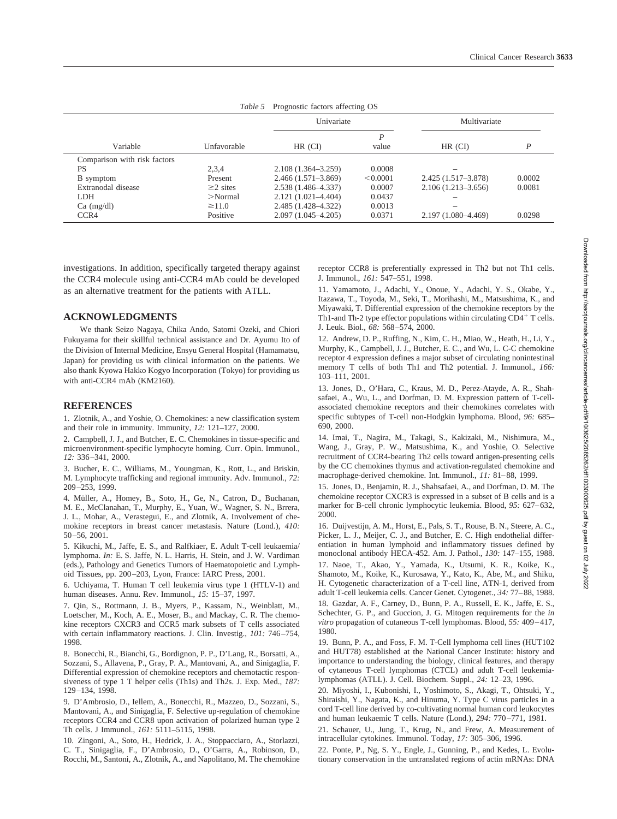|                              |                |                        | Univariate |                        | Multivariate |
|------------------------------|----------------|------------------------|------------|------------------------|--------------|
| Variable                     | Unfavorable    | $HR$ (CI)              | P<br>value | HR (CI)                | D            |
| Comparison with risk factors |                |                        |            |                        |              |
| <b>PS</b>                    | 2,3,4          | $2.108(1.364 - 3.259)$ | 0.0008     |                        |              |
| <b>B</b> symptom             | Present        | $2.466(1.571 - 3.869)$ | < 0.0001   | 2.425 (1.517-3.878)    | 0.0002       |
| Extranodal disease           | $\geq$ 2 sites | 2.538 (1.486-4.337)    | 0.0007     | $2.106(1.213 - 3.656)$ | 0.0081       |
| LDH.                         | $>$ Normal     | $2.121(1.021 - 4.404)$ | 0.0437     |                        |              |
| $Ca \ (mg/dl)$               | $\geq$ 11.0    | 2.485 (1.428–4.322)    | 0.0013     |                        |              |
| CCR4                         | Positive       | $2.097(1.045 - 4.205)$ | 0.0371     | 2.197 (1.080-4.469)    | 0.0298       |

*Table 5* Prognostic factors affecting OS

investigations. In addition, specifically targeted therapy against the CCR4 molecule using anti-CCR4 mAb could be developed as an alternative treatment for the patients with ATLL.

### **ACKNOWLEDGMENTS**

We thank Seizo Nagaya, Chika Ando, Satomi Ozeki, and Chiori Fukuyama for their skillful technical assistance and Dr. Ayumu Ito of the Division of Internal Medicine, Ensyu General Hospital (Hamamatsu, Japan) for providing us with clinical information on the patients. We also thank Kyowa Hakko Kogyo Incorporation (Tokyo) for providing us with anti-CCR4 mAb (KM2160).

#### **REFERENCES**

1. Zlotnik, A., and Yoshie, O. Chemokines: a new classification system and their role in immunity. Immunity, *12:* 121–127, 2000.

2. Campbell, J. J., and Butcher, E. C. Chemokines in tissue-specific and microenvironment-specific lymphocyte homing. Curr. Opin. Immunol., *12:* 336–341, 2000.

3. Bucher, E. C., Williams, M., Youngman, K., Rott, L., and Briskin, M. Lymphocyte trafficking and regional immunity. Adv. Immunol., *72:* 209–253, 1999.

4. Müller, A., Homey, B., Soto, H., Ge, N., Catron, D., Buchanan, M. E., McClanahan, T., Murphy, E., Yuan, W., Wagner, S. N., Brrera, J. L., Mohar, A., Verastegui, E., and Zlotnik, A. Involvement of chemokine receptors in breast cancer metastasis. Nature (Lond.), *410:* 50–56, 2001.

5. Kikuchi, M., Jaffe, E. S., and Ralfkiaer, E. Adult T-cell leukaemia/ lymphoma. *In:* E. S. Jaffe, N. L. Harris, H. Stein, and J. W. Vardiman (eds.), Pathology and Genetics Tumors of Haematopoietic and Lymphoid Tissues, pp. 200–203, Lyon, France: IARC Press, 2001.

6. Uchiyama, T. Human T cell leukemia virus type 1 (HTLV-1) and human diseases. Annu. Rev. Immunol., *15:* 15–37, 1997.

7. Qin, S., Rottmann, J. B., Myers, P., Kassam, N., Weinblatt, M., Loetscher, M., Koch, A. E., Moser, B., and Mackay, C. R. The chemokine receptors CXCR3 and CCR5 mark subsets of T cells associated with certain inflammatory reactions. J. Clin. Investig., *101:* 746–754, 1998.

8. Bonecchi, R., Bianchi, G., Bordignon, P. P., D'Lang, R., Borsatti, A., Sozzani, S., Allavena, P., Gray, P. A., Mantovani, A., and Sinigaglia, F. Differential expression of chemokine receptors and chemotactic responsiveness of type 1 T helper cells (Th1s) and Th2s. J. Exp. Med., *187:* 129–134, 1998.

9. D'Ambrosio, D., Iellem, A., Bonecchi, R., Mazzeo, D., Sozzani, S., Mantovani, A., and Sinigaglia, F. Selective up-regulation of chemokine receptors CCR4 and CCR8 upon activation of polarized human type 2 Th cells. J Immunol., *161:* 5111–5115, 1998.

10. Zingoni, A., Soto, H., Hedrick, J. A., Stoppacciaro, A., Storlazzi, C. T., Sinigaglia, F., D'Ambrosio, D., O'Garra, A., Robinson, D., Rocchi, M., Santoni, A., Zlotnik, A., and Napolitano, M. The chemokine receptor CCR8 is preferentially expressed in Th2 but not Th1 cells. J. Immunol., *161:* 547–551, 1998.

11. Yamamoto, J., Adachi, Y., Onoue, Y., Adachi, Y. S., Okabe, Y., Itazawa, T., Toyoda, M., Seki, T., Morihashi, M., Matsushima, K., and Miyawaki, T. Differential expression of the chemokine receptors by the Th1-and Th-2 type effector populations within circulating CD4<sup>+</sup> T cells. J. Leuk. Biol., *68:* 568–574, 2000.

12. Andrew, D. P., Ruffing, N., Kim, C. H., Miao, W., Heath, H., Li, Y., Murphy, K., Campbell, J. J., Butcher, E. C., and Wu, L. C-C chemokine receptor 4 expression defines a major subset of circulating nonintestinal memory T cells of both Th1 and Th2 potential. J. Immunol., *166:* 103–111, 2001.

13. Jones, D., O'Hara, C., Kraus, M. D., Perez-Atayde, A. R., Shahsafaei, A., Wu, L., and Dorfman, D. M. Expression pattern of T-cellassociated chemokine receptors and their chemokines correlates with specific subtypes of T-cell non-Hodgkin lymphoma. Blood, *96:* 685– 690, 2000.

14. Imai, T., Nagira, M., Takagi, S., Kakizaki, M., Nishimura, M., Wang, J., Gray, P. W., Matsushima, K., and Yoshie, O. Selective recruitment of CCR4-bearing Th2 cells toward antigen-presenting cells by the CC chemokines thymus and activation-regulated chemokine and macrophage-derived chemokine. Int. Immunol., *11:* 81–88, 1999.

15. Jones, D., Benjamin, R. J., Shahsafaei, A., and Dorfman, D. M. The chemokine receptor CXCR3 is expressed in a subset of B cells and is a marker for B-cell chronic lymphocytic leukemia. Blood, *95:* 627–632, 2000.

16. Duijvestijn, A. M., Horst, E., Pals, S. T., Rouse, B. N., Steere, A. C., Picker, L. J., Meijer, C. J., and Butcher, E. C. High endothelial differentiation in human lymphoid and inflammatory tissues defined by monoclonal antibody HECA-452. Am. J. Pathol., *130:* 147–155, 1988.

17. Naoe, T., Akao, Y., Yamada, K., Utsumi, K. R., Koike, K., Shamoto, M., Koike, K., Kurosawa, Y., Kato, K., Abe, M., and Shiku, H. Cytogenetic characterization of a T-cell line, ATN-1, derived from adult T-cell leukemia cells. Cancer Genet. Cytogenet., *34:* 77–88, 1988.

18. Gazdar, A. F., Carney, D., Bunn, P. A., Russell, E. K., Jaffe, E. S., Schechter, G. P., and Guccion, J. G. Mitogen requirements for the *in vitro* propagation of cutaneous T-cell lymphomas. Blood, *55:* 409–417, 1980.

19. Bunn, P. A., and Foss, F. M. T-Cell lymphoma cell lines (HUT102 and HUT78) established at the National Cancer Institute: history and importance to understanding the biology, clinical features, and therapy of cytaneous T-cell lymphomas (CTCL) and adult T-cell leukemialymphomas (ATLL). J. Cell. Biochem. Suppl., *24:* 12–23, 1996.

20. Miyoshi, I., Kubonishi, I., Yoshimoto, S., Akagi, T., Ohtsuki, Y., Shiraishi, Y., Nagata, K., and Hinuma, Y. Type C virus particles in a cord T-cell line derived by co-cultivating normal human cord leukocytes and human leukaemic T cells. Nature (Lond.), *294:* 770–771, 1981.

21. Schauer, U., Jung, T., Krug, N., and Frew, A. Measurement of intracellular cytokines. Immunol. Today, *17:* 305–306, 1996.

22. Ponte, P., Ng, S. Y., Engle, J., Gunning, P., and Kedes, L. Evolutionary conservation in the untranslated regions of actin mRNAs: DNA